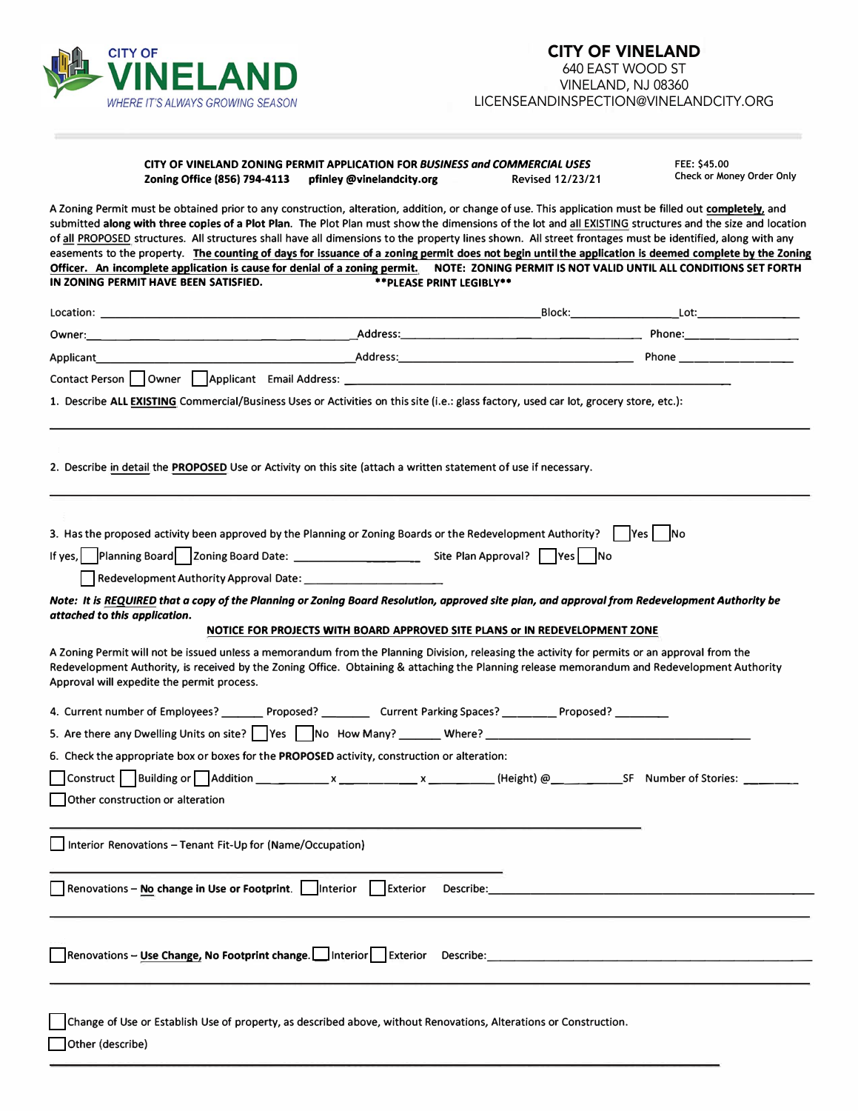

## **CITY OF VINELAND ZONING PERMIT APPLICATION FOR** *BUSINESS and COMMERCIAL USES*  **Zoning Office (856) 794-4113 pfinley @vinelandcity.org Revised 12/23/21**

**FEE: \$45.00 Check or Money Order Only**

A Zoning Permit must be obtained prior to any construction, alteration, addition, or change of use. This application must be filled out **completely,** and submitted **along with three copies of a Plot Plan.** The Plot Plan must show the dimensions of the lot and all EXISTING structures and the size and location of all PROPOSED structures. All structures shall have all dimensions to the property lines shown. All street frontages must be identified, along with any easements to the property. **The counting of days for issuance of a zoning permit does not begin until the application is deemed complete by the Zoning**  Officer. An incomplete application is cause for denial of a zoning permit. NOTE: ZONING PERMIT IS NOT VALID UNTIL ALL CONDITIONS SET FORTH IN ZONING PERMIT HAVE BEEN SATISFIED. \*\* PLEASE PRINT LEGIBLY\*\* **IN ZONING PERMIT HAVE BEEN SATISFIED.** 

| <b>Location:</b> the contract of the contract of the contract of the contract of the contract of the contract of the contract of the contract of the contract of the contract of the contract of the contract of the contract of th |                                                                                                                                                                                                                                                                                               |                                                                                                                                                                                                                                     |  |
|-------------------------------------------------------------------------------------------------------------------------------------------------------------------------------------------------------------------------------------|-----------------------------------------------------------------------------------------------------------------------------------------------------------------------------------------------------------------------------------------------------------------------------------------------|-------------------------------------------------------------------------------------------------------------------------------------------------------------------------------------------------------------------------------------|--|
|                                                                                                                                                                                                                                     |                                                                                                                                                                                                                                                                                               |                                                                                                                                                                                                                                     |  |
| Applicant <b>Applicant</b>                                                                                                                                                                                                          |                                                                                                                                                                                                                                                                                               |                                                                                                                                                                                                                                     |  |
|                                                                                                                                                                                                                                     | Contact Person   Owner   Applicant Email Address: ______________________________                                                                                                                                                                                                              |                                                                                                                                                                                                                                     |  |
|                                                                                                                                                                                                                                     | 1. Describe ALL EXISTING Commercial/Business Uses or Activities on this site (i.e.: glass factory, used car lot, grocery store, etc.):                                                                                                                                                        |                                                                                                                                                                                                                                     |  |
|                                                                                                                                                                                                                                     |                                                                                                                                                                                                                                                                                               |                                                                                                                                                                                                                                     |  |
|                                                                                                                                                                                                                                     |                                                                                                                                                                                                                                                                                               |                                                                                                                                                                                                                                     |  |
|                                                                                                                                                                                                                                     | 2. Describe in detail the <b>PROPOSED</b> Use or Activity on this site (attach a written statement of use if necessary.                                                                                                                                                                       |                                                                                                                                                                                                                                     |  |
|                                                                                                                                                                                                                                     |                                                                                                                                                                                                                                                                                               |                                                                                                                                                                                                                                     |  |
|                                                                                                                                                                                                                                     |                                                                                                                                                                                                                                                                                               |                                                                                                                                                                                                                                     |  |
|                                                                                                                                                                                                                                     | 3. Has the proposed activity been approved by the Planning or Zoning Boards or the Redevelopment Authority? $\vert$  Yes   No                                                                                                                                                                 |                                                                                                                                                                                                                                     |  |
|                                                                                                                                                                                                                                     |                                                                                                                                                                                                                                                                                               |                                                                                                                                                                                                                                     |  |
|                                                                                                                                                                                                                                     |                                                                                                                                                                                                                                                                                               |                                                                                                                                                                                                                                     |  |
|                                                                                                                                                                                                                                     | Note: It is REQUIRED that a copy of the Planning or Zoning Board Resolution, approved site pian, and approval from Redevelopment Authority be                                                                                                                                                 |                                                                                                                                                                                                                                     |  |
| attached to this application.                                                                                                                                                                                                       | NOTICE FOR PROJECTS WITH BOARD APPROVED SITE PLANS or IN REDEVELOPMENT ZONE                                                                                                                                                                                                                   |                                                                                                                                                                                                                                     |  |
| Approval will expedite the permit process.                                                                                                                                                                                          | A Zoning Permit will not be issued unless a memorandum from the Planning Division, releasing the activity for permits or an approval from the<br>Redevelopment Authority, is received by the Zoning Office. Obtaining & attaching the Planning release memorandum and Redevelopment Authority |                                                                                                                                                                                                                                     |  |
|                                                                                                                                                                                                                                     | 4. Current number of Employees? _________ Proposed? ____________ Current Parking Spaces? __________ Proposed? ________                                                                                                                                                                        |                                                                                                                                                                                                                                     |  |
|                                                                                                                                                                                                                                     |                                                                                                                                                                                                                                                                                               |                                                                                                                                                                                                                                     |  |
|                                                                                                                                                                                                                                     | 6. Check the appropriate box or boxes for the PROPOSED activity, construction or alteration:                                                                                                                                                                                                  |                                                                                                                                                                                                                                     |  |
|                                                                                                                                                                                                                                     | Construct Building or Addition ___________ x ________ x _________ (Height) @ _______________________ SF Number of Stories: _______                                                                                                                                                            |                                                                                                                                                                                                                                     |  |
| Other construction or alteration                                                                                                                                                                                                    |                                                                                                                                                                                                                                                                                               |                                                                                                                                                                                                                                     |  |
|                                                                                                                                                                                                                                     |                                                                                                                                                                                                                                                                                               |                                                                                                                                                                                                                                     |  |
| Interior Renovations - Tenant Fit-Up for (Name/Occupation)                                                                                                                                                                          |                                                                                                                                                                                                                                                                                               |                                                                                                                                                                                                                                     |  |
|                                                                                                                                                                                                                                     |                                                                                                                                                                                                                                                                                               |                                                                                                                                                                                                                                     |  |
| Renovations - No change in Use or Footprint.   Interior                                                                                                                                                                             | Exterior                                                                                                                                                                                                                                                                                      | <b>Describe:</b> the contract of the contract of the contract of the contract of the contract of the contract of the contract of the contract of the contract of the contract of the contract of the contract of the contract of th |  |
|                                                                                                                                                                                                                                     |                                                                                                                                                                                                                                                                                               |                                                                                                                                                                                                                                     |  |
|                                                                                                                                                                                                                                     |                                                                                                                                                                                                                                                                                               |                                                                                                                                                                                                                                     |  |
|                                                                                                                                                                                                                                     | Renovations - Use Change, No Footprint change. Interior Exterior Describe:                                                                                                                                                                                                                    |                                                                                                                                                                                                                                     |  |
|                                                                                                                                                                                                                                     |                                                                                                                                                                                                                                                                                               |                                                                                                                                                                                                                                     |  |
|                                                                                                                                                                                                                                     |                                                                                                                                                                                                                                                                                               |                                                                                                                                                                                                                                     |  |
|                                                                                                                                                                                                                                     | Change of Use or Establish Use of property, as described above, without Renovations, Alterations or Construction.                                                                                                                                                                             |                                                                                                                                                                                                                                     |  |
| Other (describe)                                                                                                                                                                                                                    |                                                                                                                                                                                                                                                                                               |                                                                                                                                                                                                                                     |  |
|                                                                                                                                                                                                                                     |                                                                                                                                                                                                                                                                                               |                                                                                                                                                                                                                                     |  |